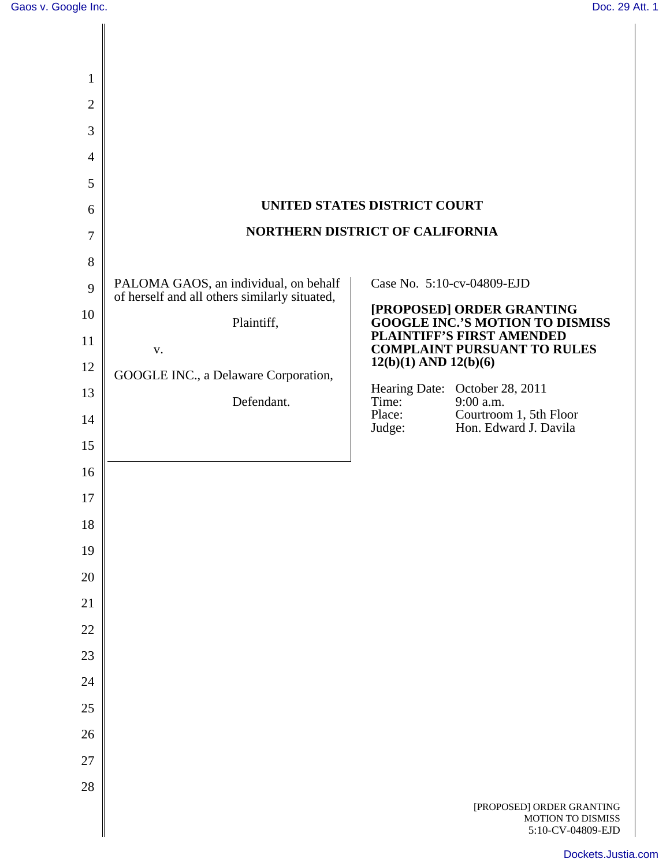| 1              |                                               |                                                                            |
|----------------|-----------------------------------------------|----------------------------------------------------------------------------|
| $\overline{2}$ |                                               |                                                                            |
| 3              |                                               |                                                                            |
| $\overline{4}$ |                                               |                                                                            |
| 5              |                                               |                                                                            |
| 6              |                                               | UNITED STATES DISTRICT COURT                                               |
| 7              | <b>NORTHERN DISTRICT OF CALIFORNIA</b>        |                                                                            |
| 8              |                                               |                                                                            |
| 9              | PALOMA GAOS, an individual, on behalf         | Case No. 5:10-cv-04809-EJD                                                 |
| 10             | of herself and all others similarly situated, | [PROPOSED] ORDER GRANTING                                                  |
| 11             | Plaintiff,                                    | <b>GOOGLE INC.'S MOTION TO DISMISS</b><br><b>PLAINTIFF'S FIRST AMENDED</b> |
| 12             | ${\bf V}$ .                                   | <b>COMPLAINT PURSUANT TO RULES</b><br>$12(b)(1)$ AND $12(b)(6)$            |
| 13             | GOOGLE INC., a Delaware Corporation,          | Hearing Date: October 28, 2011                                             |
| 14             | Defendant.                                    | 9:00 a.m.<br>Time:<br>Courtroom 1, 5th Floor<br>Place:                     |
| 15             |                                               | Hon. Edward J. Davila<br>Judge:                                            |
| 16             |                                               |                                                                            |
| 17             |                                               |                                                                            |
| 18             |                                               |                                                                            |
| 19             |                                               |                                                                            |
| 20             |                                               |                                                                            |
| 21             |                                               |                                                                            |
| 22             |                                               |                                                                            |
| 23             |                                               |                                                                            |
| 24             |                                               |                                                                            |
| 25             |                                               |                                                                            |
| 26             |                                               |                                                                            |
| 27             |                                               |                                                                            |
| 28             |                                               |                                                                            |
|                |                                               | [PROPOSED] ORDER GRANTING<br>MOTION TO DISMISS<br>5:10-CV-04809-EJD        |

[Dockets.Justia.com](http://dockets.justia.com/)